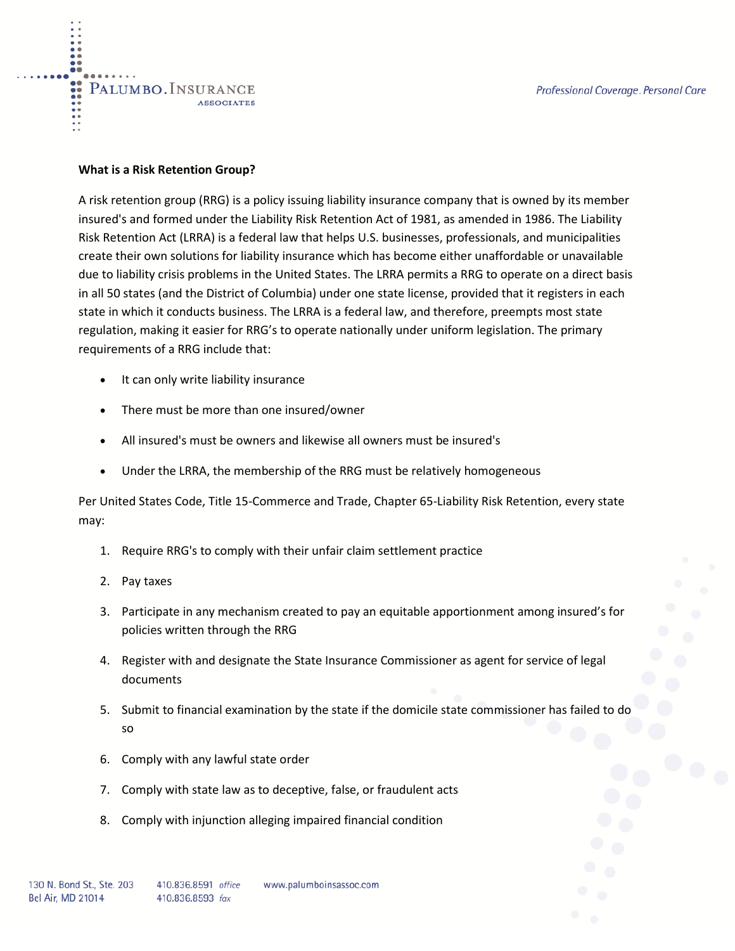#### **What is a Risk Retention Group?**

PALUMBO. INSURANCE

**ASSOCIATES** 

A risk retention group (RRG) is a policy issuing liability insurance company that is owned by its member insured's and formed under the Liability Risk Retention Act of 1981, as amended in 1986. The Liability Risk Retention Act (LRRA) is a federal law that helps U.S. businesses, professionals, and municipalities create their own solutions for liability insurance which has become either unaffordable or unavailable due to liability crisis problems in the United States. The LRRA permits a RRG to operate on a direct basis in all 50 states (and the District of Columbia) under one state license, provided that it registers in each state in which it conducts business. The LRRA is a federal law, and therefore, preempts most state regulation, making it easier for RRG's to operate nationally under uniform legislation. The primary requirements of a RRG include that:

- It can only write liability insurance
- There must be more than one insured/owner
- All insured's must be owners and likewise all owners must be insured's
- Under the LRRA, the membership of the RRG must be relatively homogeneous

Per United States Code, Title 15-Commerce and Trade, Chapter 65-Liability Risk Retention, every state may:

- 1. Require RRG's to comply with their unfair claim settlement practice
- 2. Pay taxes
- 3. Participate in any mechanism created to pay an equitable apportionment among insured's for policies written through the RRG
- 4. Register with and designate the State Insurance Commissioner as agent for service of legal documents
- 5. Submit to financial examination by the state if the domicile state commissioner has failed to do so
- 6. Comply with any lawful state order
- 7. Comply with state law as to deceptive, false, or fraudulent acts
- 8. Comply with injunction alleging impaired financial condition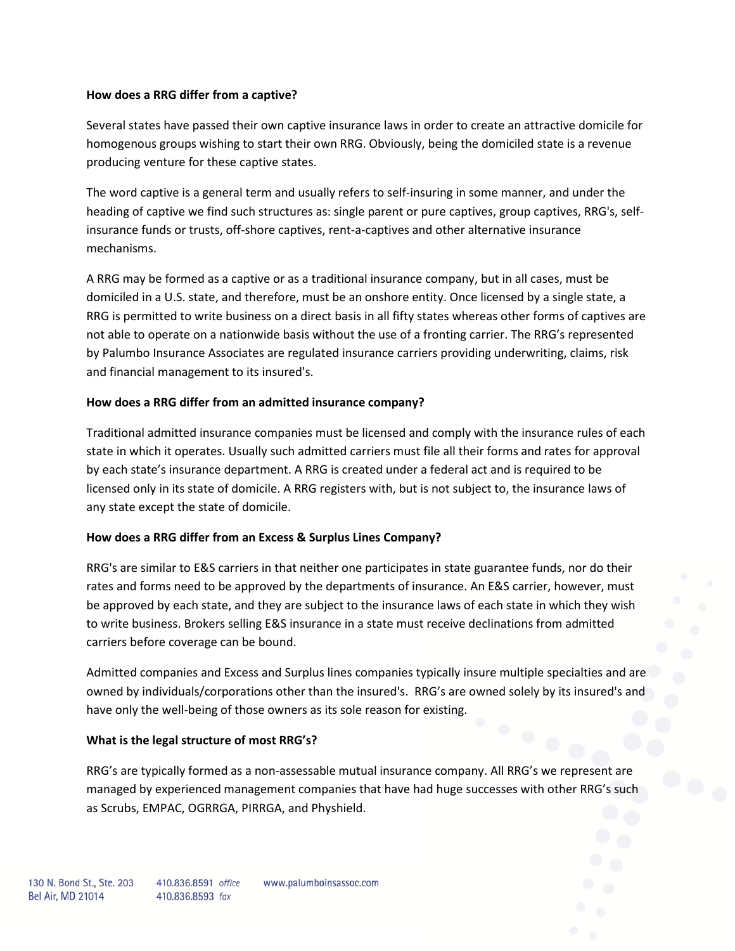### **How does a RRG differ from a captive?**

Several states have passed their own captive insurance laws in order to create an attractive domicile for homogenous groups wishing to start their own RRG. Obviously, being the domiciled state is a revenue producing venture for these captive states.

The word captive is a general term and usually refers to self-insuring in some manner, and under the heading of captive we find such structures as: single parent or pure captives, group captives, RRG's, selfinsurance funds or trusts, off-shore captives, rent-a-captives and other alternative insurance mechanisms.

A RRG may be formed as a captive or as a traditional insurance company, but in all cases, must be domiciled in a U.S. state, and therefore, must be an onshore entity. Once licensed by a single state, a RRG is permitted to write business on a direct basis in all fifty states whereas other forms of captives are not able to operate on a nationwide basis without the use of a fronting carrier. The RRG's represented by Palumbo Insurance Associates are regulated insurance carriers providing underwriting, claims, risk and financial management to its insured's.

# **How does a RRG differ from an admitted insurance company?**

Traditional admitted insurance companies must be licensed and comply with the insurance rules of each state in which it operates. Usually such admitted carriers must file all their forms and rates for approval by each state's insurance department. A RRG is created under a federal act and is required to be licensed only in its state of domicile. A RRG registers with, but is not subject to, the insurance laws of any state except the state of domicile.

# **How does a RRG differ from an Excess & Surplus Lines Company?**

RRG's are similar to E&S carriers in that neither one participates in state guarantee funds, nor do their rates and forms need to be approved by the departments of insurance. An E&S carrier, however, must be approved by each state, and they are subject to the insurance laws of each state in which they wish to write business. Brokers selling E&S insurance in a state must receive declinations from admitted carriers before coverage can be bound.

Admitted companies and Excess and Surplus lines companies typically insure multiple specialties and are owned by individuals/corporations other than the insured's. RRG's are owned solely by its insured's and have only the well-being of those owners as its sole reason for existing.

# **What is the legal structure of most RRG's?**

RRG's are typically formed as a non-assessable mutual insurance company. All RRG's we represent are managed by experienced management companies that have had huge successes with other RRG's such as Scrubs, EMPAC, OGRRGA, PIRRGA, and Physhield.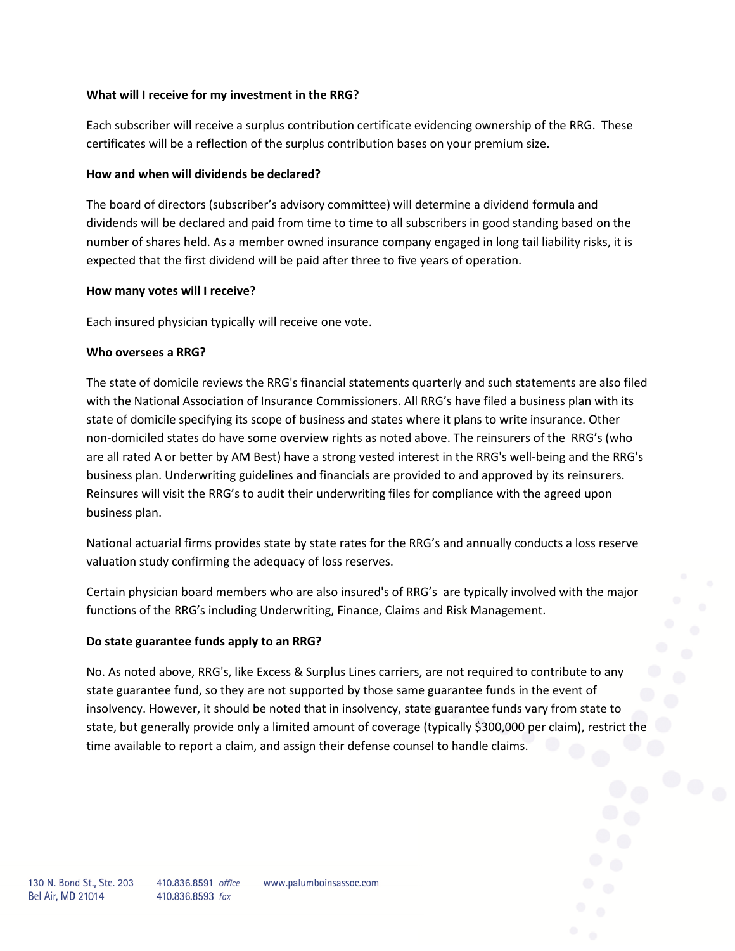### **What will I receive for my investment in the RRG?**

Each subscriber will receive a surplus contribution certificate evidencing ownership of the RRG. These certificates will be a reflection of the surplus contribution bases on your premium size.

### **How and when will dividends be declared?**

The board of directors (subscriber's advisory committee) will determine a dividend formula and dividends will be declared and paid from time to time to all subscribers in good standing based on the number of shares held. As a member owned insurance company engaged in long tail liability risks, it is expected that the first dividend will be paid after three to five years of operation.

### **How many votes will I receive?**

Each insured physician typically will receive one vote.

### **Who oversees a RRG?**

The state of domicile reviews the RRG's financial statements quarterly and such statements are also filed with the National Association of Insurance Commissioners. All RRG's have filed a business plan with its state of domicile specifying its scope of business and states where it plans to write insurance. Other non-domiciled states do have some overview rights as noted above. The reinsurers of the RRG's (who are all rated A or better by AM Best) have a strong vested interest in the RRG's well-being and the RRG's business plan. Underwriting guidelines and financials are provided to and approved by its reinsurers. Reinsures will visit the RRG's to audit their underwriting files for compliance with the agreed upon business plan.

National actuarial firms provides state by state rates for the RRG's and annually conducts a loss reserve valuation study confirming the adequacy of loss reserves.

Certain physician board members who are also insured's of RRG's are typically involved with the major functions of the RRG's including Underwriting, Finance, Claims and Risk Management.

#### **Do state guarantee funds apply to an RRG?**

No. As noted above, RRG's, like Excess & Surplus Lines carriers, are not required to contribute to any state guarantee fund, so they are not supported by those same guarantee funds in the event of insolvency. However, it should be noted that in insolvency, state guarantee funds vary from state to state, but generally provide only a limited amount of coverage (typically \$300,000 per claim), restrict the time available to report a claim, and assign their defense counsel to handle claims.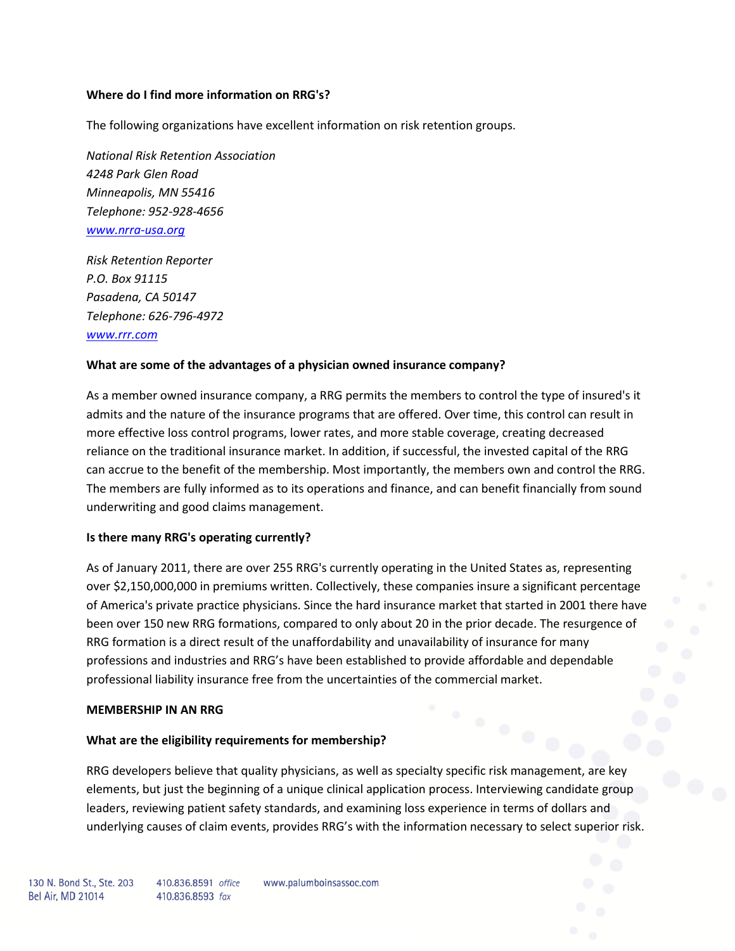### **Where do I find more information on RRG's?**

The following organizations have excellent information on risk retention groups.

*National Risk Retention Association 4248 Park Glen Road Minneapolis, MN 55416 Telephone: 952-928-4656 [www.nrra-usa.org](http://www.nrra-usa.org/)*

*Risk Retention Reporter P.O. Box 91115 Pasadena, CA 50147 Telephone: 626-796-4972 [www.rrr.com](http://www.rrr.com/)*

#### **What are some of the advantages of a physician owned insurance company?**

As a member owned insurance company, a RRG permits the members to control the type of insured's it admits and the nature of the insurance programs that are offered. Over time, this control can result in more effective loss control programs, lower rates, and more stable coverage, creating decreased reliance on the traditional insurance market. In addition, if successful, the invested capital of the RRG can accrue to the benefit of the membership. Most importantly, the members own and control the RRG. The members are fully informed as to its operations and finance, and can benefit financially from sound underwriting and good claims management.

#### **Is there many RRG's operating currently?**

As of January 2011, there are over 255 RRG's currently operating in the United States as, representing over \$2,150,000,000 in premiums written. Collectively, these companies insure a significant percentage of America's private practice physicians. Since the hard insurance market that started in 2001 there have been over 150 new RRG formations, compared to only about 20 in the prior decade. The resurgence of RRG formation is a direct result of the unaffordability and unavailability of insurance for many professions and industries and RRG's have been established to provide affordable and dependable professional liability insurance free from the uncertainties of the commercial market.

#### **MEMBERSHIP IN AN RRG**

#### **What are the eligibility requirements for membership?**

RRG developers believe that quality physicians, as well as specialty specific risk management, are key elements, but just the beginning of a unique clinical application process. Interviewing candidate group leaders, reviewing patient safety standards, and examining loss experience in terms of dollars and underlying causes of claim events, provides RRG's with the information necessary to select superior risk.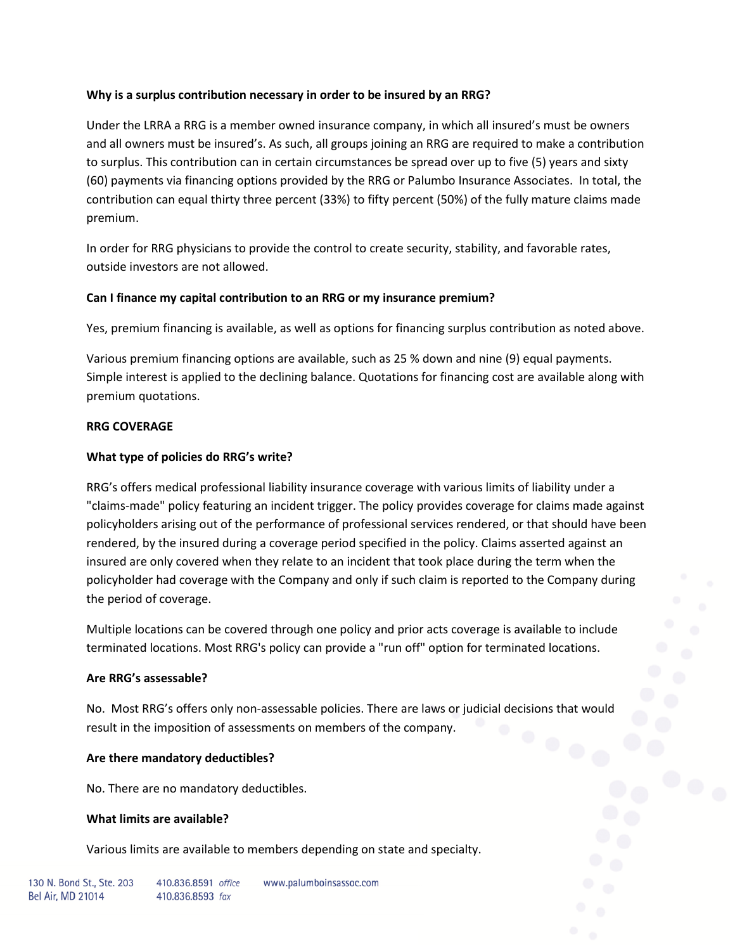# **Why is a surplus contribution necessary in order to be insured by an RRG?**

Under the LRRA a RRG is a member owned insurance company, in which all insured's must be owners and all owners must be insured's. As such, all groups joining an RRG are required to make a contribution to surplus. This contribution can in certain circumstances be spread over up to five (5) years and sixty (60) payments via financing options provided by the RRG or Palumbo Insurance Associates. In total, the contribution can equal thirty three percent (33%) to fifty percent (50%) of the fully mature claims made premium.

In order for RRG physicians to provide the control to create security, stability, and favorable rates, outside investors are not allowed.

# **Can I finance my capital contribution to an RRG or my insurance premium?**

Yes, premium financing is available, as well as options for financing surplus contribution as noted above.

Various premium financing options are available, such as 25 % down and nine (9) equal payments. Simple interest is applied to the declining balance. Quotations for financing cost are available along with premium quotations.

# **RRG COVERAGE**

# **What type of policies do RRG's write?**

RRG's offers medical professional liability insurance coverage with various limits of liability under a "claims-made" policy featuring an incident trigger. The policy provides coverage for claims made against policyholders arising out of the performance of professional services rendered, or that should have been rendered, by the insured during a coverage period specified in the policy. Claims asserted against an insured are only covered when they relate to an incident that took place during the term when the policyholder had coverage with the Company and only if such claim is reported to the Company during the period of coverage.

Multiple locations can be covered through one policy and prior acts coverage is available to include terminated locations. Most RRG's policy can provide a "run off" option for terminated locations.

# **Are RRG's assessable?**

No. Most RRG's offers only non-assessable policies. There are laws or judicial decisions that would result in the imposition of assessments on members of the company.

# **Are there mandatory deductibles?**

No. There are no mandatory deductibles.

# **What limits are available?**

Various limits are available to members depending on state and specialty.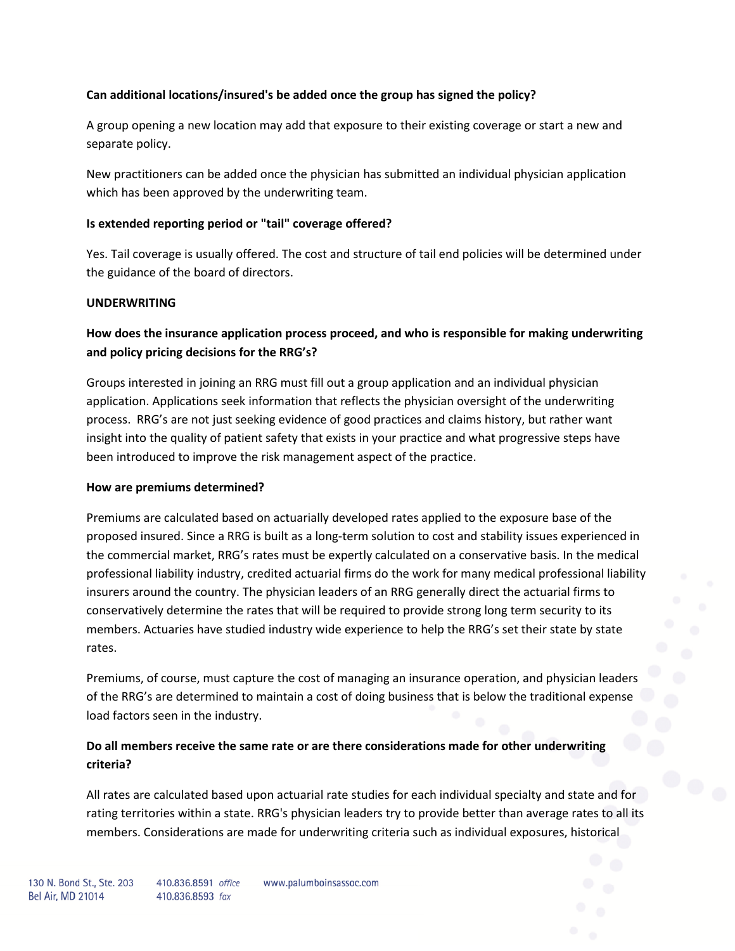# **Can additional locations/insured's be added once the group has signed the policy?**

A group opening a new location may add that exposure to their existing coverage or start a new and separate policy.

New practitioners can be added once the physician has submitted an individual physician application which has been approved by the underwriting team.

# **Is extended reporting period or "tail" coverage offered?**

Yes. Tail coverage is usually offered. The cost and structure of tail end policies will be determined under the guidance of the board of directors.

# **UNDERWRITING**

# **How does the insurance application process proceed, and who is responsible for making underwriting and policy pricing decisions for the RRG's?**

Groups interested in joining an RRG must fill out a group application and an individual physician application. Applications seek information that reflects the physician oversight of the underwriting process. RRG's are not just seeking evidence of good practices and claims history, but rather want insight into the quality of patient safety that exists in your practice and what progressive steps have been introduced to improve the risk management aspect of the practice.

# **How are premiums determined?**

Premiums are calculated based on actuarially developed rates applied to the exposure base of the proposed insured. Since a RRG is built as a long-term solution to cost and stability issues experienced in the commercial market, RRG's rates must be expertly calculated on a conservative basis. In the medical professional liability industry, credited actuarial firms do the work for many medical professional liability insurers around the country. The physician leaders of an RRG generally direct the actuarial firms to conservatively determine the rates that will be required to provide strong long term security to its members. Actuaries have studied industry wide experience to help the RRG's set their state by state rates.

Premiums, of course, must capture the cost of managing an insurance operation, and physician leaders of the RRG's are determined to maintain a cost of doing business that is below the traditional expense load factors seen in the industry.

# **Do all members receive the same rate or are there considerations made for other underwriting criteria?**

All rates are calculated based upon actuarial rate studies for each individual specialty and state and for rating territories within a state. RRG's physician leaders try to provide better than average rates to all its members. Considerations are made for underwriting criteria such as individual exposures, historical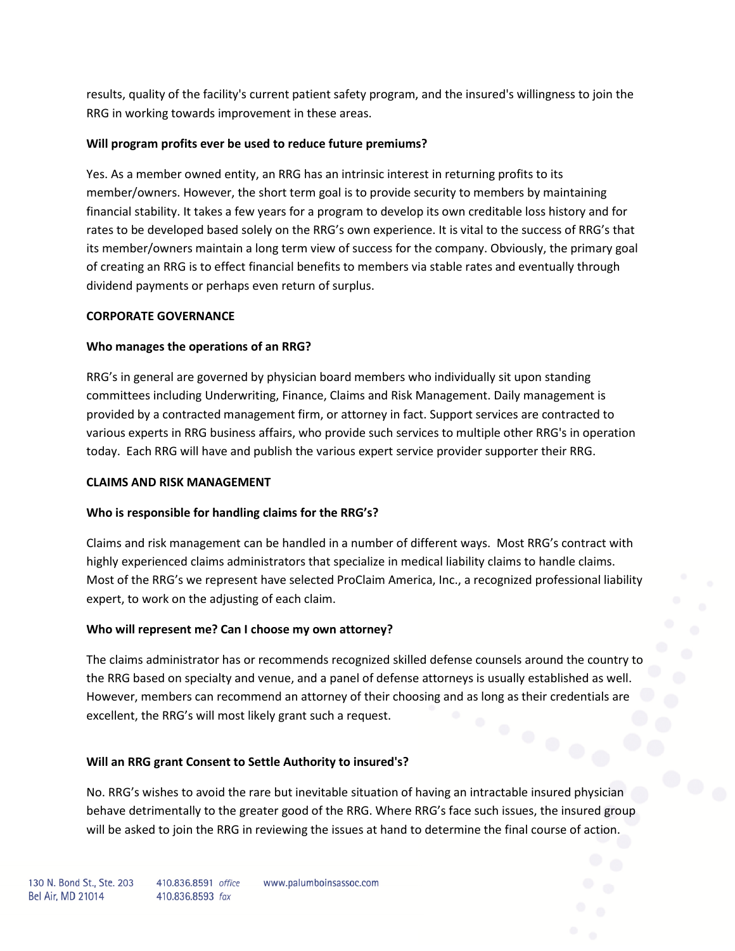results, quality of the facility's current patient safety program, and the insured's willingness to join the RRG in working towards improvement in these areas.

# **Will program profits ever be used to reduce future premiums?**

Yes. As a member owned entity, an RRG has an intrinsic interest in returning profits to its member/owners. However, the short term goal is to provide security to members by maintaining financial stability. It takes a few years for a program to develop its own creditable loss history and for rates to be developed based solely on the RRG's own experience. It is vital to the success of RRG's that its member/owners maintain a long term view of success for the company. Obviously, the primary goal of creating an RRG is to effect financial benefits to members via stable rates and eventually through dividend payments or perhaps even return of surplus.

# **CORPORATE GOVERNANCE**

# **Who manages the operations of an RRG?**

RRG's in general are governed by physician board members who individually sit upon standing committees including Underwriting, Finance, Claims and Risk Management. Daily management is provided by a contracted management firm, or attorney in fact. Support services are contracted to various experts in RRG business affairs, who provide such services to multiple other RRG's in operation today. Each RRG will have and publish the various expert service provider supporter their RRG.

# **CLAIMS AND RISK MANAGEMENT**

# **Who is responsible for handling claims for the RRG's?**

Claims and risk management can be handled in a number of different ways. Most RRG's contract with highly experienced claims administrators that specialize in medical liability claims to handle claims. Most of the RRG's we represent have selected ProClaim America, Inc., a recognized professional liability expert, to work on the adjusting of each claim.

# **Who will represent me? Can I choose my own attorney?**

The claims administrator has or recommends recognized skilled defense counsels around the country to the RRG based on specialty and venue, and a panel of defense attorneys is usually established as well. However, members can recommend an attorney of their choosing and as long as their credentials are excellent, the RRG's will most likely grant such a request.

# **Will an RRG grant Consent to Settle Authority to insured's?**

No. RRG's wishes to avoid the rare but inevitable situation of having an intractable insured physician behave detrimentally to the greater good of the RRG. Where RRG's face such issues, the insured group will be asked to join the RRG in reviewing the issues at hand to determine the final course of action.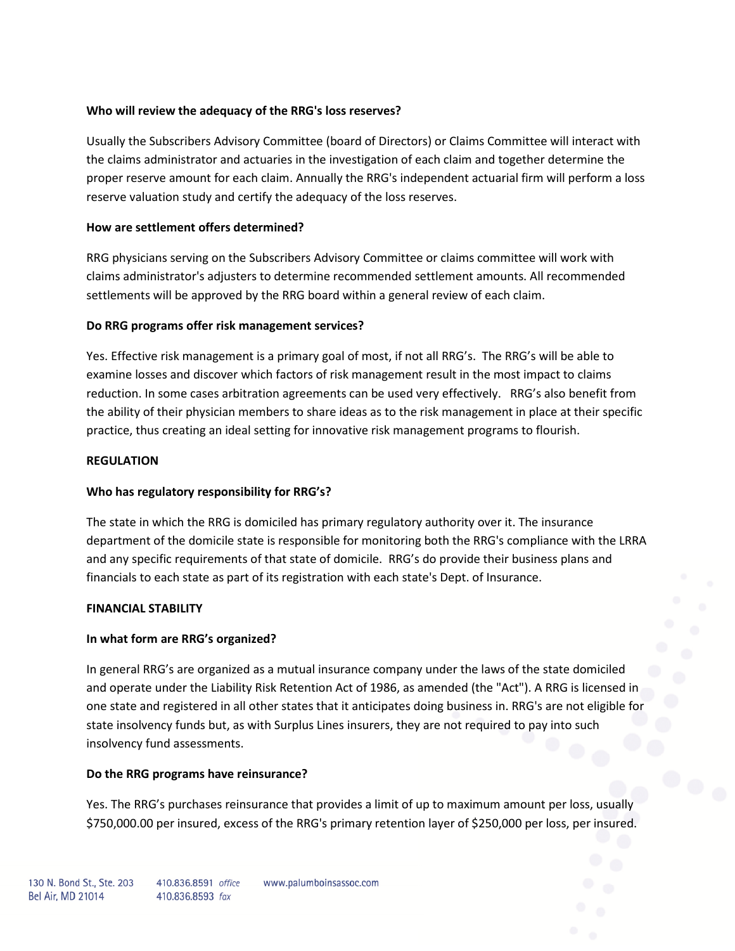# **Who will review the adequacy of the RRG's loss reserves?**

Usually the Subscribers Advisory Committee (board of Directors) or Claims Committee will interact with the claims administrator and actuaries in the investigation of each claim and together determine the proper reserve amount for each claim. Annually the RRG's independent actuarial firm will perform a loss reserve valuation study and certify the adequacy of the loss reserves.

### **How are settlement offers determined?**

RRG physicians serving on the Subscribers Advisory Committee or claims committee will work with claims administrator's adjusters to determine recommended settlement amounts. All recommended settlements will be approved by the RRG board within a general review of each claim.

# **Do RRG programs offer risk management services?**

Yes. Effective risk management is a primary goal of most, if not all RRG's. The RRG's will be able to examine losses and discover which factors of risk management result in the most impact to claims reduction. In some cases arbitration agreements can be used very effectively. RRG's also benefit from the ability of their physician members to share ideas as to the risk management in place at their specific practice, thus creating an ideal setting for innovative risk management programs to flourish.

### **REGULATION**

# **Who has regulatory responsibility for RRG's?**

The state in which the RRG is domiciled has primary regulatory authority over it. The insurance department of the domicile state is responsible for monitoring both the RRG's compliance with the LRRA and any specific requirements of that state of domicile. RRG's do provide their business plans and financials to each state as part of its registration with each state's Dept. of Insurance.

#### **FINANCIAL STABILITY**

# **In what form are RRG's organized?**

In general RRG's are organized as a mutual insurance company under the laws of the state domiciled and operate under the Liability Risk Retention Act of 1986, as amended (the "Act"). A RRG is licensed in one state and registered in all other states that it anticipates doing business in. RRG's are not eligible for state insolvency funds but, as with Surplus Lines insurers, they are not required to pay into such insolvency fund assessments.

# **Do the RRG programs have reinsurance?**

Yes. The RRG's purchases reinsurance that provides a limit of up to maximum amount per loss, usually \$750,000.00 per insured, excess of the RRG's primary retention layer of \$250,000 per loss, per insured.